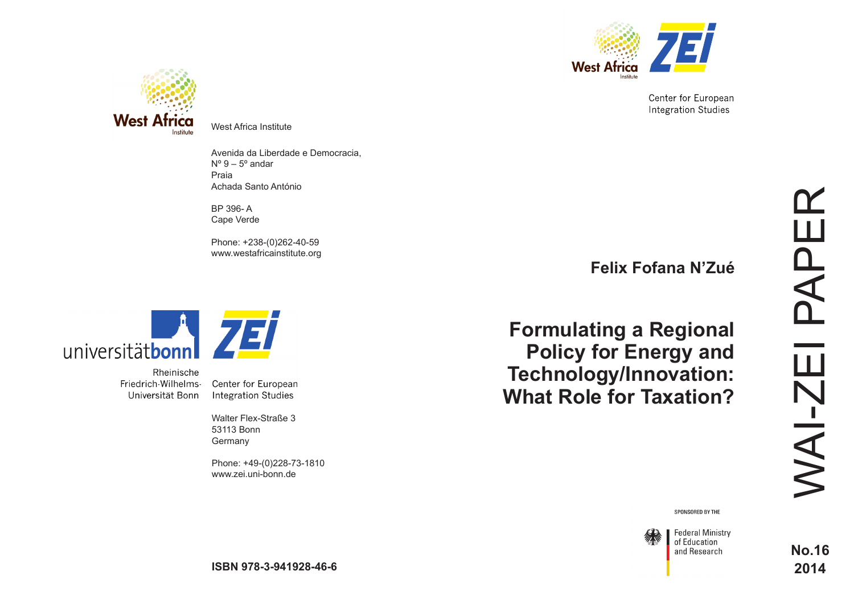

Center for European **Integration Studies** 



West Africa Institute

Avenida da Liberdade e Democracia,  $N^{\circ}$  9 – 5 $^{\circ}$  andar Praia Achada Santo António

BP 396- A Cape Verde

Phone: +238-(0)262-40-59 www.westafricainstitute.org



Rheinische Friedrich-Wilhelms-Universität Bonn

Center for European **Integration Studies** 

Walter Flex-Straße 3 53113 Bonn **Germany** 

Phone: +49-(0)228-73-1810 www.zei.uni-bonn.de

**Felix Fofana N'Zué**

**Formulating a Regional Policy for Energy and Technology/Innovation: What Role for Taxation?**

SPONSORED BY THE



**Federal Ministry** of Education and Research

**No.16 2014**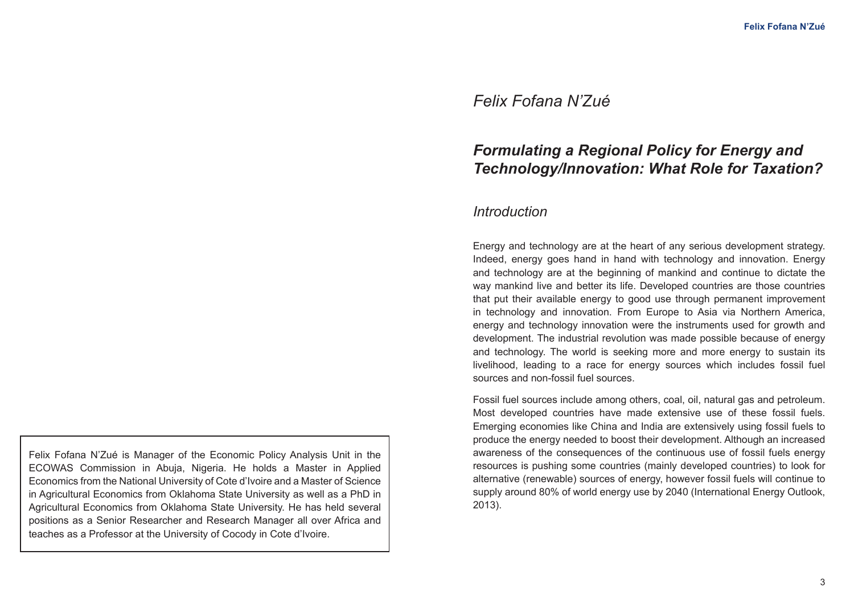# *Felix Fofana N'Zué*

# *Formulating a Regional Policy for Energy and Technology/Innovation: What Role for Taxation?*

# *Introduction*

Energy and technology are at the heart of any serious development strategy. Indeed, energy goes hand in hand with technology and innovation. Energy and technology are at the beginning of mankind and continue to dictate the way mankind live and better its life. Developed countries are those countries that put their available energy to good use through permanent improvement in technology and innovation. From Europe to Asia via Northern America, energy and technology innovation were the instruments used for growth and development. The industrial revolution was made possible because of energy and technology. The world is seeking more and more energy to sustain its livelihood, leading to a race for energy sources which includes fossil fuel sources and non-fossil fuel sources.

Fossil fuel sources include among others, coal, oil, natural gas and petroleum. Most developed countries have made extensive use of these fossil fuels. Emerging economies like China and India are extensively using fossil fuels to produce the energy needed to boost their development. Although an increased awareness of the consequences of the continuous use of fossil fuels energy resources is pushing some countries (mainly developed countries) to look for alternative (renewable) sources of energy, however fossil fuels will continue to supply around 80% of world energy use by 2040 (International Energy Outlook, 2013).

Felix Fofana N'Zué is Manager of the Economic Policy Analysis Unit in the ECOWAS Commission in Abuja, Nigeria. He holds a Master in Applied Economics from the National University of Cote d'Ivoire and a Master of Science in Agricultural Economics from Oklahoma State University as well as a PhD in Agricultural Economics from Oklahoma State University. He has held several positions as a Senior Researcher and Research Manager all over Africa and teaches as a Professor at the University of Cocody in Cote d'Ivoire.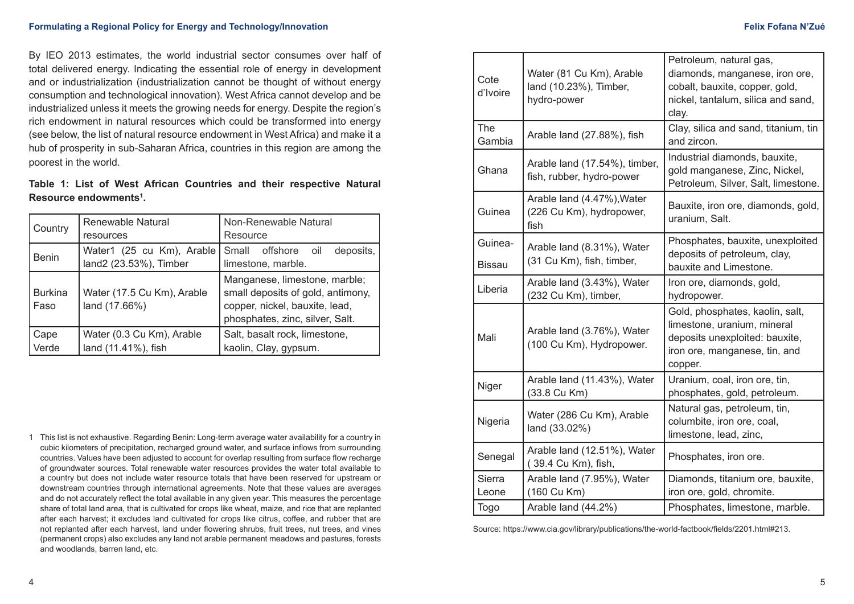By IEO 2013 estimates, the world industrial sector consumes over half of total delivered energy. Indicating the essential role of energy in development and or industrialization (industrialization cannot be thought of without energy consumption and technological innovation). West Africa cannot develop and be industrialized unless it meets the growing needs for energy. Despite the region's rich endowment in natural resources which could be transformed into energy (see below, the list of natural resource endowment in West Africa) and make it a hub of prosperity in sub-Saharan Africa, countries in this region are among the poorest in the world.

### **Table 1: List of West African Countries and their respective Natural Resource endowments1 .**

| Country                | Renewable Natural<br>resources                      | Non-Renewable Natural<br>Resource                                                                                                       |
|------------------------|-----------------------------------------------------|-----------------------------------------------------------------------------------------------------------------------------------------|
| <b>Benin</b>           | Water1 (25 cu Km), Arable<br>land2 (23.53%), Timber | Small offshore oil<br>deposits,<br>limestone, marble.                                                                                   |
| <b>Burkina</b><br>Faso | Water (17.5 Cu Km), Arable<br>land (17.66%)         | Manganese, limestone, marble;<br>small deposits of gold, antimony,<br>copper, nickel, bauxite, lead,<br>phosphates, zinc, silver, Salt. |
| Cape<br>Verde          | Water (0.3 Cu Km), Arable<br>land (11.41%), fish    | Salt, basalt rock, limestone,<br>kaolin, Clay, gypsum.                                                                                  |

1 This list is not exhaustive. Regarding Benin: Long-term average water availability for a country in cubic kilometers of precipitation, recharged ground water, and surface inflows from surrounding countries. Values have been adjusted to account for overlap resulting from surface flow recharge of groundwater sources. Total renewable water resources provides the water total available to a country but does not include water resource totals that have been reserved for upstream or downstream countries through international agreements. Note that these values are averages and do not accurately reflect the total available in any given year. This measures the percentage share of total land area, that is cultivated for crops like wheat, maize, and rice that are replanted after each harvest; it excludes land cultivated for crops like citrus, coffee, and rubber that are not replanted after each harvest, land under flowering shrubs, fruit trees, nut trees, and vines (permanent crops) also excludes any land not arable permanent meadows and pastures, forests and woodlands, barren land, etc.

| Cote<br>d'Ivoire         | Water (81 Cu Km), Arable<br>land (10.23%), Timber,<br>hydro-power | Petroleum, natural gas,<br>diamonds, manganese, iron ore,<br>cobalt, bauxite, copper, gold,<br>nickel, tantalum, silica and sand,<br>clay.   |
|--------------------------|-------------------------------------------------------------------|----------------------------------------------------------------------------------------------------------------------------------------------|
| <b>The</b><br>Gambia     | Arable land (27.88%), fish                                        | Clay, silica and sand, titanium, tin<br>and zircon.                                                                                          |
| Ghana                    | Arable land (17.54%), timber,<br>fish, rubber, hydro-power        | Industrial diamonds, bauxite,<br>gold manganese, Zinc, Nickel,<br>Petroleum, Silver, Salt, limestone.                                        |
| Guinea                   | Arable land (4.47%), Water<br>(226 Cu Km), hydropower,<br>fish    | Bauxite, iron ore, diamonds, gold,<br>uranium, Salt.                                                                                         |
| Guinea-<br><b>Bissau</b> | Arable land (8.31%), Water<br>(31 Cu Km), fish, timber,           | Phosphates, bauxite, unexploited<br>deposits of petroleum, clay,<br>bauxite and Limestone.                                                   |
| Liberia                  | Arable land (3.43%), Water<br>(232 Cu Km), timber,                | Iron ore, diamonds, gold,<br>hydropower.                                                                                                     |
| Mali                     | Arable land (3.76%), Water<br>(100 Cu Km), Hydropower.            | Gold, phosphates, kaolin, salt,<br>limestone, uranium, mineral<br>deposits unexploited: bauxite,<br>iron ore, manganese, tin, and<br>copper. |
| Niger                    | Arable land (11.43%), Water<br>(33.8 Cu Km)                       | Uranium, coal, iron ore, tin,<br>phosphates, gold, petroleum.                                                                                |
| Nigeria                  | Water (286 Cu Km), Arable<br>land (33.02%)                        | Natural gas, petroleum, tin,<br>columbite, iron ore, coal,<br>limestone, lead, zinc,                                                         |
| Senegal                  | Arable land (12.51%), Water<br>(39.4 Cu Km), fish,                | Phosphates, iron ore.                                                                                                                        |
| <b>Sierra</b><br>Leone   | Arable land (7.95%), Water<br>(160 Cu Km)                         | Diamonds, titanium ore, bauxite,<br>iron ore, gold, chromite.                                                                                |
| Togo                     | Arable land (44.2%)                                               | Phosphates, limestone, marble.                                                                                                               |

Source: https://www.cia.gov/library/publications/the-world-factbook/fields/2201.html#213.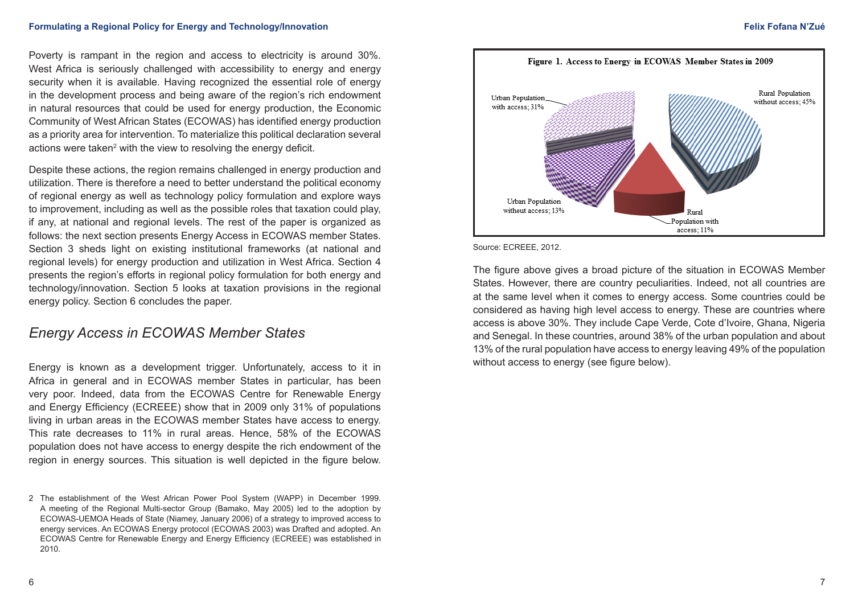Poverty is rampant in the region and access to electricity is around 30%. West Africa is seriously challenged with accessibility to energy and energy security when it is available. Having recognized the essential role of energy in the development process and being aware of the region's rich endowment in natural resources that could be used for energy production, the Economic Community of West African States (ECOWAS) has identified energy production as a priority area for intervention. To materialize this political declaration several actions were taken<sup>2</sup> with the view to resolving the energy deficit.

Despite these actions, the region remains challenged in energy production and utilization. There is therefore a need to better understand the political economy of regional energy as well as technology policy formulation and explore ways to improvement, including as well as the possible roles that taxation could play, if any, at national and regional levels. The rest of the paper is organized as follows: the next section presents Energy Access in ECOWAS member States. Section 3 sheds light on existing institutional frameworks (at national and regional levels) for energy production and utilization in West Africa. Section 4 presents the region's efforts in regional policy formulation for both energy and technology/innovation. Section 5 looks at taxation provisions in the regional energy policy. Section 6 concludes the paper.

# *Energy Access in ECOWAS Member States*

Energy is known as a development trigger. Unfortunately, access to it in Africa in general and in ECOWAS member States in particular, has been very poor. Indeed, data from the ECOWAS Centre for Renewable Energy and Energy Efficiency (ECREEE) show that in 2009 only 31% of populations living in urban areas in the ECOWAS member States have access to energy. This rate decreases to 11% in rural areas. Hence, 58% of the ECOWAS population does not have access to energy despite the rich endowment of the region in energy sources. This situation is well depicted in the figure below.



Source: ECREEE, 2012.

The figure above gives a broad picture of the situation in ECOWAS Member States. However, there are country peculiarities. Indeed, not all countries are at the same level when it comes to energy access. Some countries could be considered as having high level access to energy. These are countries where access is above 30%. They include Cape Verde, Cote d'Ivoire, Ghana, Nigeria and Senegal. In these countries, around 38% of the urban population and about 13% of the rural population have access to energy leaving 49% of the population without access to energy (see figure below).

<sup>2</sup> The establishment of the West African Power Pool System (WAPP) in December 1999. A meeting of the Regional Multi-sector Group (Bamako, May 2005) led to the adoption by ECOWAS-UEMOA Heads of State (Niamey, January 2006) of a strategy to improved access to energy services. An ECOWAS Energy protocol (ECOWAS 2003) was Drafted and adopted. An ECOWAS Centre for Renewable Energy and Energy Efficiency (ECREEE) was established in 2010.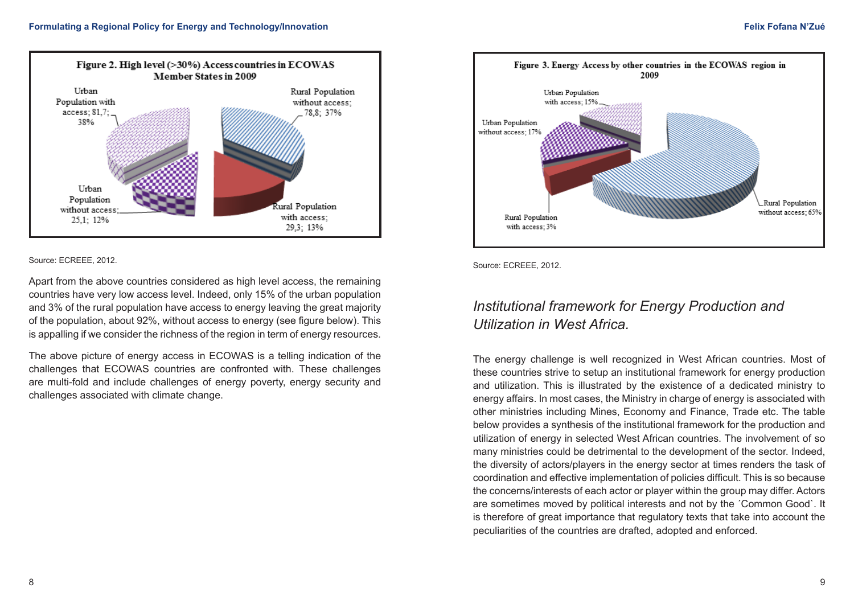

#### Source: ECREEE, 2012.

Apart from the above countries considered as high level access, the remaining countries have very low access level. Indeed, only 15% of the urban population and 3% of the rural population have access to energy leaving the great majority of the population, about 92%, without access to energy (see figure below). This is appalling if we consider the richness of the region in term of energy resources.

The above picture of energy access in ECOWAS is a telling indication of the challenges that ECOWAS countries are confronted with. These challenges are multi-fold and include challenges of energy poverty, energy security and challenges associated with climate change.



Source: ECREEE, 2012.

# *Institutional framework for Energy Production and Utilization in West Africa.*

The energy challenge is well recognized in West African countries. Most of these countries strive to setup an institutional framework for energy production and utilization. This is illustrated by the existence of a dedicated ministry to energy affairs. In most cases, the Ministry in charge of energy is associated with other ministries including Mines, Economy and Finance, Trade etc. The table below provides a synthesis of the institutional framework for the production and utilization of energy in selected West African countries. The involvement of so many ministries could be detrimental to the development of the sector. Indeed, the diversity of actors/players in the energy sector at times renders the task of coordination and effective implementation of policies difficult. This is so because the concerns/interests of each actor or player within the group may differ. Actors are sometimes moved by political interests and not by the ´Common Good`. It is therefore of great importance that regulatory texts that take into account the peculiarities of the countries are drafted, adopted and enforced.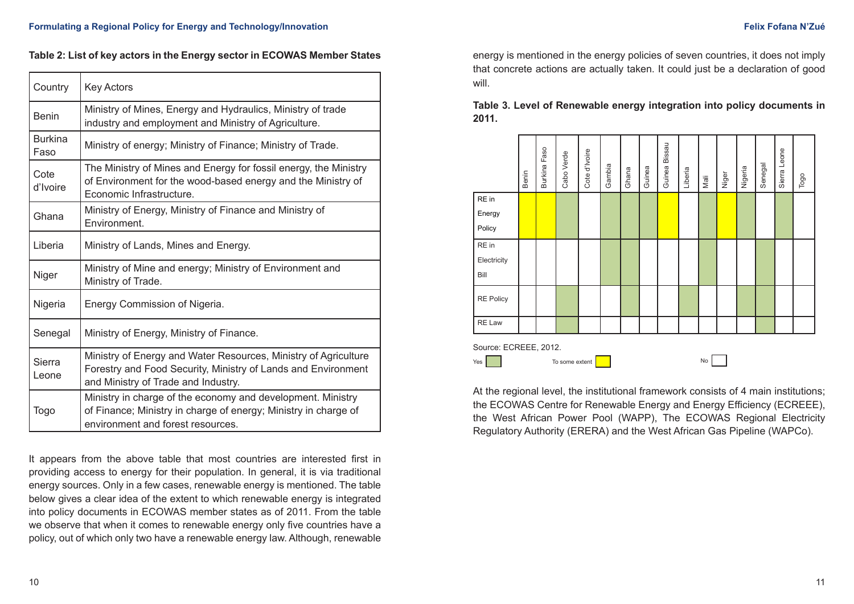### **Table 2: List of key actors in the Energy sector in ECOWAS Member States**

| Country                | <b>Key Actors</b>                                                                                                                                                       |  |
|------------------------|-------------------------------------------------------------------------------------------------------------------------------------------------------------------------|--|
| <b>Benin</b>           | Ministry of Mines, Energy and Hydraulics, Ministry of trade<br>industry and employment and Ministry of Agriculture.                                                     |  |
| <b>Burkina</b><br>Faso | Ministry of energy; Ministry of Finance; Ministry of Trade.                                                                                                             |  |
| Cote<br>d'Ivoire       | The Ministry of Mines and Energy for fossil energy, the Ministry<br>of Environment for the wood-based energy and the Ministry of<br>Economic Infrastructure.            |  |
| Ghana                  | Ministry of Energy, Ministry of Finance and Ministry of<br>Environment.                                                                                                 |  |
| Liberia                | Ministry of Lands, Mines and Energy.                                                                                                                                    |  |
| Niger                  | Ministry of Mine and energy; Ministry of Environment and<br>Ministry of Trade.                                                                                          |  |
| Nigeria                | Energy Commission of Nigeria.                                                                                                                                           |  |
| Senegal                | Ministry of Energy, Ministry of Finance.                                                                                                                                |  |
| <b>Sierra</b><br>Leone | Ministry of Energy and Water Resources, Ministry of Agriculture<br>Forestry and Food Security, Ministry of Lands and Environment<br>and Ministry of Trade and Industry. |  |
| Togo                   | Ministry in charge of the economy and development. Ministry<br>of Finance; Ministry in charge of energy; Ministry in charge of<br>environment and forest resources.     |  |

It appears from the above table that most countries are interested first in providing access to energy for their population. In general, it is via traditional energy sources. Only in a few cases, renewable energy is mentioned. The table below gives a clear idea of the extent to which renewable energy is integrated into policy documents in ECOWAS member states as of 2011. From the table we observe that when it comes to renewable energy only five countries have a policy, out of which only two have a renewable energy law. Although, renewable

energy is mentioned in the energy policies of seven countries, it does not imply that concrete actions are actually taken. It could just be a declaration of good will.

**Table 3. Level of Renewable energy integration into policy documents in 2011.**



At the regional level, the institutional framework consists of 4 main institutions: the ECOWAS Centre for Renewable Energy and Energy Efficiency (ECREEE), the West African Power Pool (WAPP), The ECOWAS Regional Electricity Regulatory Authority (ERERA) and the West African Gas Pipeline (WAPCo).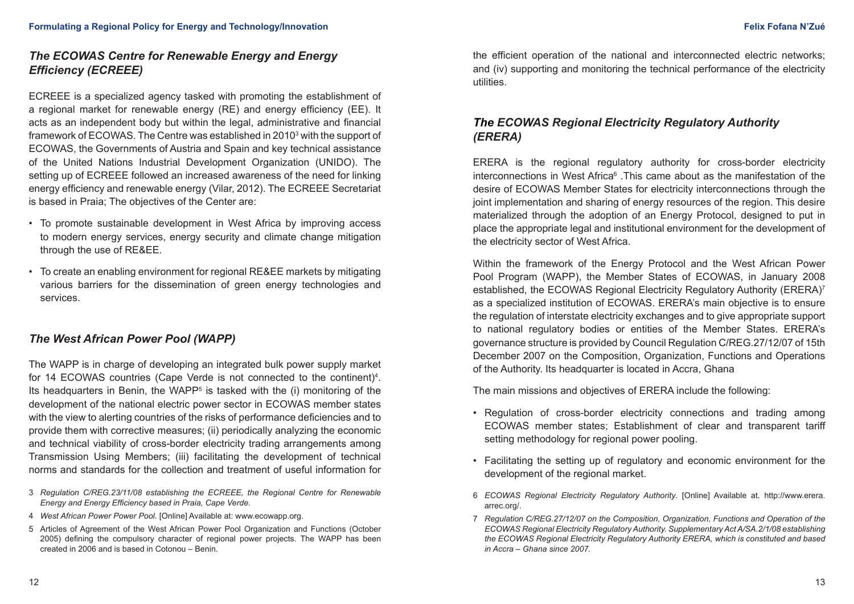## *The ECOWAS Centre for Renewable Energy and Energy Efficiency (ECREEE)*

ECREEE is a specialized agency tasked with promoting the establishment of a regional market for renewable energy (RE) and energy efficiency (EE). It acts as an independent body but within the legal, administrative and financial framework of ECOWAS. The Centre was established in 2010<sup>3</sup> with the support of ECOWAS, the Governments of Austria and Spain and key technical assistance of the United Nations Industrial Development Organization (UNIDO). The setting up of ECREEE followed an increased awareness of the need for linking energy efficiency and renewable energy (Vilar, 2012). The ECREEE Secretariat is based in Praia; The objectives of the Center are:

- To promote sustainable development in West Africa by improving access to modern energy services, energy security and climate change mitigation through the use of RE&EE.
- To create an enabling environment for regional RE&EE markets by mitigating various barriers for the dissemination of green energy technologies and services.

## *The West African Power Pool (WAPP)*

The WAPP is in charge of developing an integrated bulk power supply market for 14 ECOWAS countries (Cape Verde is not connected to the continent)<sup>4</sup>. Its headquarters in Benin, the WAPP<sup>5</sup> is tasked with the (i) monitoring of the development of the national electric power sector in ECOWAS member states with the view to alerting countries of the risks of performance deficiencies and to provide them with corrective measures; (ii) periodically analyzing the economic and technical viability of cross-border electricity trading arrangements among Transmission Using Members; (iii) facilitating the development of technical norms and standards for the collection and treatment of useful information for

- 3 *Regulation C/REG.23/11/08 establishing the ECREEE, the Regional Centre for Renewable Energy and Energy Efficiency based in Praia, Cape Verde.*
- 4 *West African Power Power Pool*. [Online] Available at: [www.ecowapp.org.](http://www.wapp.org)
- 5 Articles of Agreement of the West African Power Pool Organization and Functions (October 2005) defining the compulsory character of regional power projects. The WAPP has been created in 2006 and is based in Cotonou – Benin.

the efficient operation of the national and interconnected electric networks; and (iv) supporting and monitoring the technical performance of the electricity utilities.

## *The ECOWAS Regional Electricity Regulatory Authority (ERERA)*

ERERA is the regional regulatory authority for cross-border electricity interconnections in West Africa<sup>6</sup>. This came about as the manifestation of the desire of ECOWAS Member States for electricity interconnections through the joint implementation and sharing of energy resources of the region. This desire materialized through the adoption of an Energy Protocol, designed to put in place the appropriate legal and institutional environment for the development of the electricity sector of West Africa.

Within the framework of the Energy Protocol and the West African Power Pool Program (WAPP), the Member States of ECOWAS, in January 2008 established, the ECOWAS Regional Electricity Regulatory Authority (ERERA)<sup>7</sup> as a specialized institution of ECOWAS. ERERA's main objective is to ensure the regulation of interstate electricity exchanges and to give appropriate support to national regulatory bodies or entities of the Member States. ERERA's governance structure is provided by Council Regulation C/REG.27/12/07 of 15th December 2007 on the Composition, Organization, Functions and Operations of the Authority. Its headquarter is located in Accra, Ghana

The main missions and objectives of ERERA include the following:

- Regulation of cross-border electricity connections and trading among ECOWAS member states; Establishment of clear and transparent tariff setting methodology for regional power pooling.
- Facilitating the setting up of regulatory and economic environment for the development of the regional market.
- 6 *ECOWAS Regional Electricity Regulatory Authority*. [Online] Available at. http://www.erera. arrec.org/.
- 7 *Regulation C/REG.27/12/07 on the Composition, Organization, Functions and Operation of the ECOWAS Regional Electricity Regulatory Authority. Supplementary Act A/SA.2/1/08 establishing the ECOWAS Regional Electricity Regulatory Authority ERERA, which is constituted and based in Accra – Ghana since 2007.*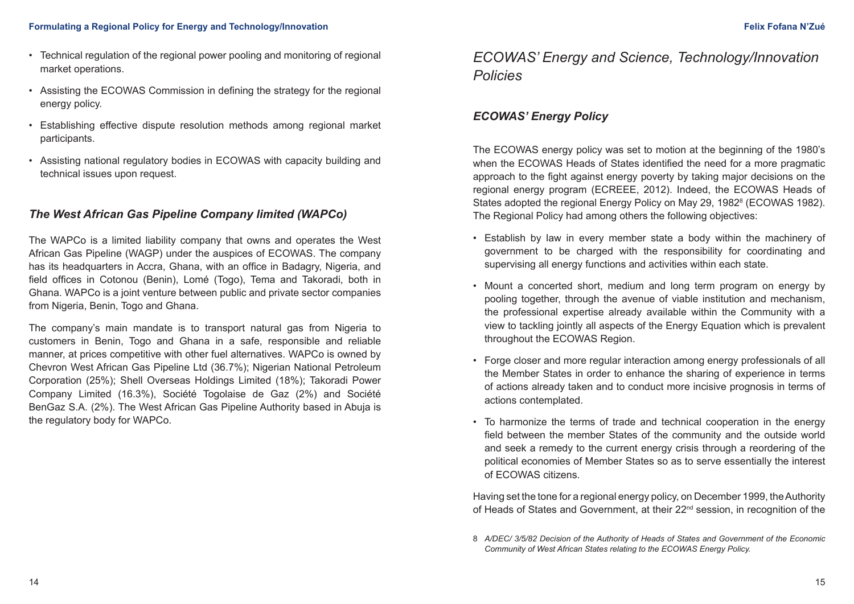- Technical regulation of the regional power pooling and monitoring of regional market operations.
- Assisting the ECOWAS Commission in defining the strategy for the regional energy policy.
- Establishing effective dispute resolution methods among regional market participants.
- Assisting national regulatory bodies in ECOWAS with capacity building and technical issues upon request.

## *The West African Gas Pipeline Company limited (WAPCo)*

The WAPCo is a limited liability company that owns and operates the West African Gas Pipeline (WAGP) under the auspices of ECOWAS. The company has its headquarters in Accra, Ghana, with an office in Badagry, Nigeria, and field offices in Cotonou (Benin), Lomé (Togo), Tema and Takoradi, both in Ghana. WAPCo is a joint venture between public and private sector companies from Nigeria, Benin, Togo and Ghana.

The company's main mandate is to transport natural gas from Nigeria to customers in Benin, Togo and Ghana in a safe, responsible and reliable manner, at prices competitive with other fuel alternatives. WAPCo is owned by Chevron West African Gas Pipeline Ltd (36.7%); Nigerian National Petroleum Corporation (25%); Shell Overseas Holdings Limited (18%); Takoradi Power Company Limited (16.3%), Société Togolaise de Gaz (2%) and Société BenGaz S.A. (2%). The West African Gas Pipeline Authority based in Abuja is the regulatory body for WAPCo.

# *ECOWAS' Energy and Science, Technology/Innovation Policies*

## *ECOWAS' Energy Policy*

The ECOWAS energy policy was set to motion at the beginning of the 1980's when the ECOWAS Heads of States identified the need for a more pragmatic approach to the fight against energy poverty by taking major decisions on the regional energy program (ECREEE, 2012). Indeed, the ECOWAS Heads of States adopted the regional Energy Policy on May 29, 1982<sup>8</sup> (ECOWAS 1982). The Regional Policy had among others the following objectives:

- Establish by law in every member state a body within the machinery of government to be charged with the responsibility for coordinating and supervising all energy functions and activities within each state.
- Mount a concerted short, medium and long term program on energy by pooling together, through the avenue of viable institution and mechanism, the professional expertise already available within the Community with a view to tackling jointly all aspects of the Energy Equation which is prevalent throughout the ECOWAS Region.
- Forge closer and more regular interaction among energy professionals of all the Member States in order to enhance the sharing of experience in terms of actions already taken and to conduct more incisive prognosis in terms of actions contemplated.
- To harmonize the terms of trade and technical cooperation in the energy field between the member States of the community and the outside world and seek a remedy to the current energy crisis through a reordering of the political economies of Member States so as to serve essentially the interest of ECOWAS citizens.

Having set the tone for a regional energy policy, on December 1999, the Authority of Heads of States and Government, at their 22<sup>nd</sup> session, in recognition of the

<sup>8</sup> *A/DEC/ 3/5/82 Decision of the Authority of Heads of States and Government of the Economic Community of West African States relating to the ECOWAS Energy Policy.*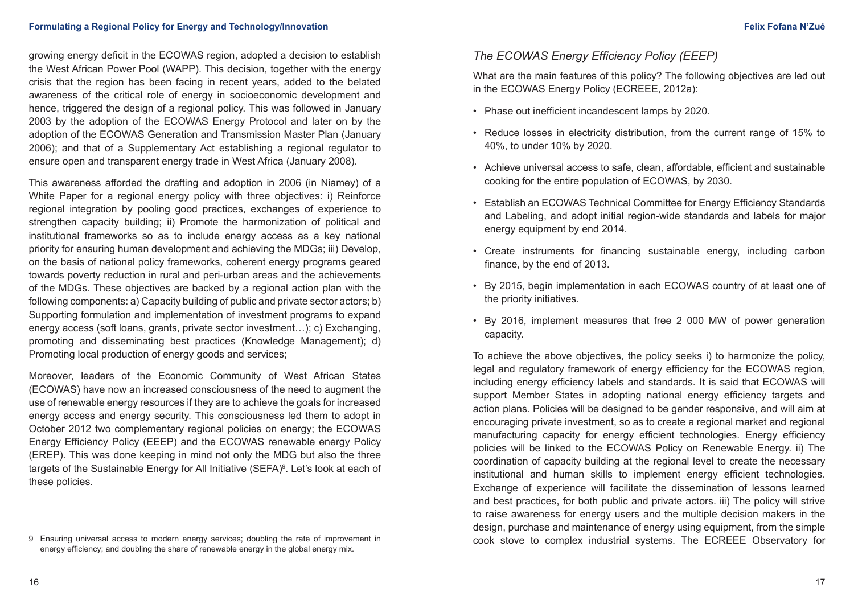growing energy deficit in the ECOWAS region, adopted a decision to establish the West African Power Pool (WAPP). This decision, together with the energy crisis that the region has been facing in recent years, added to the belated awareness of the critical role of energy in socioeconomic development and hence, triggered the design of a regional policy. This was followed in January 2003 by the adoption of the ECOWAS Energy Protocol and later on by the adoption of the ECOWAS Generation and Transmission Master Plan (January 2006); and that of a Supplementary Act establishing a regional regulator to ensure open and transparent energy trade in West Africa (January 2008).

This awareness afforded the drafting and adoption in 2006 (in Niamey) of a White Paper for a regional energy policy with three objectives: i) Reinforce regional integration by pooling good practices, exchanges of experience to strengthen capacity building; ii) Promote the harmonization of political and institutional frameworks so as to include energy access as a key national priority for ensuring human development and achieving the MDGs; iii) Develop, on the basis of national policy frameworks, coherent energy programs geared towards poverty reduction in rural and peri-urban areas and the achievements of the MDGs. These objectives are backed by a regional action plan with the following components: a) Capacity building of public and private sector actors; b) Supporting formulation and implementation of investment programs to expand energy access (soft loans, grants, private sector investment…); c) Exchanging, promoting and disseminating best practices (Knowledge Management); d) Promoting local production of energy goods and services;

Moreover, leaders of the Economic Community of West African States (ECOWAS) have now an increased consciousness of the need to augment the use of renewable energy resources if they are to achieve the goals for increased energy access and energy security. This consciousness led them to adopt in October 2012 two complementary regional policies on energy; the ECOWAS Energy Efficiency Policy (EEEP) and the ECOWAS renewable energy Policy (EREP). This was done keeping in mind not only the MDG but also the three targets of the Sustainable Energy for All Initiative (SEFA)<sup>9</sup>. Let's look at each of these policies.

### *The ECOWAS Energy Efficiency Policy (EEEP)*

What are the main features of this policy? The following objectives are led out in the ECOWAS Energy Policy (ECREEE, 2012a):

- Phase out inefficient incandescent lamps by 2020.
- Reduce losses in electricity distribution, from the current range of 15% to 40%, to under 10% by 2020.
- Achieve universal access to safe, clean, affordable, efficient and sustainable cooking for the entire population of ECOWAS, by 2030.
- Establish an ECOWAS Technical Committee for Energy Efficiency Standards and Labeling, and adopt initial region-wide standards and labels for major energy equipment by end 2014.
- Create instruments for financing sustainable energy, including carbon finance, by the end of 2013.
- By 2015, begin implementation in each ECOWAS country of at least one of the priority initiatives.
- By 2016, implement measures that free 2 000 MW of power generation capacity.

To achieve the above objectives, the policy seeks i) to harmonize the policy, legal and regulatory framework of energy efficiency for the ECOWAS region, including energy efficiency labels and standards. It is said that ECOWAS will support Member States in adopting national energy efficiency targets and action plans. Policies will be designed to be gender responsive, and will aim at encouraging private investment, so as to create a regional market and regional manufacturing capacity for energy efficient technologies. Energy efficiency policies will be linked to the ECOWAS Policy on Renewable Energy. ii) The coordination of capacity building at the regional level to create the necessary institutional and human skills to implement energy efficient technologies. Exchange of experience will facilitate the dissemination of lessons learned and best practices, for both public and private actors. iii) The policy will strive to raise awareness for energy users and the multiple decision makers in the design, purchase and maintenance of energy using equipment, from the simple cook stove to complex industrial systems. The ECREEE Observatory for

<sup>9</sup> Ensuring universal access to modern energy services; doubling the rate of improvement in energy efficiency; and doubling the share of renewable energy in the global energy mix.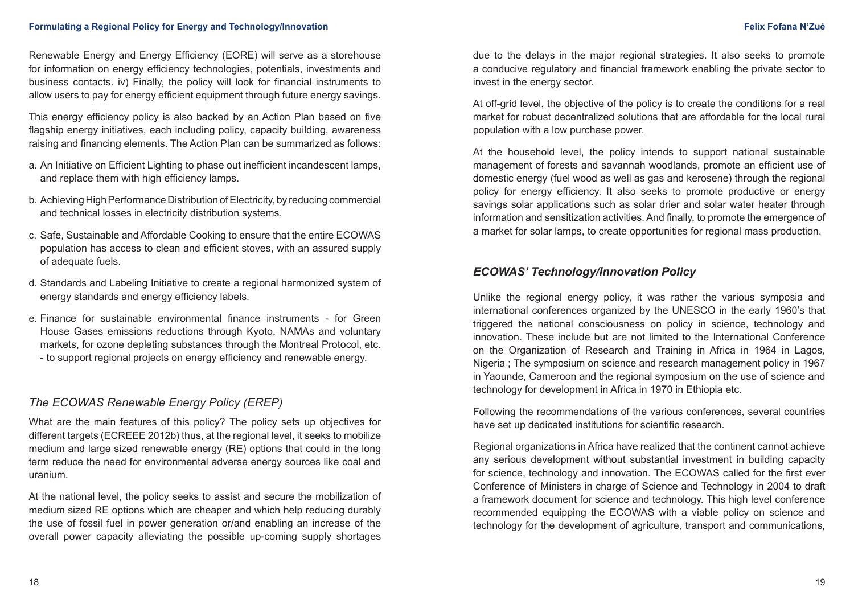Renewable Energy and Energy Efficiency (EORE) will serve as a storehouse for information on energy efficiency technologies, potentials, investments and business contacts. iv) Finally, the policy will look for financial instruments to allow users to pay for energy efficient equipment through future energy savings.

This energy efficiency policy is also backed by an Action Plan based on five flagship energy initiatives, each including policy, capacity building, awareness raising and financing elements. The Action Plan can be summarized as follows:

- a. An Initiative on Efficient Lighting to phase out inefficient incandescent lamps, and replace them with high efficiency lamps.
- b. Achieving High Performance Distribution of Electricity, by reducing commercial and technical losses in electricity distribution systems.
- c. Safe, Sustainable and Affordable Cooking to ensure that the entire ECOWAS population has access to clean and efficient stoves, with an assured supply of adequate fuels.
- d. Standards and Labeling Initiative to create a regional harmonized system of energy standards and energy efficiency labels.
- e. Finance for sustainable environmental finance instruments for Green House Gases emissions reductions through Kyoto, NAMAs and voluntary markets, for ozone depleting substances through the Montreal Protocol, etc. - to support regional projects on energy efficiency and renewable energy.

### *The ECOWAS Renewable Energy Policy (EREP)*

What are the main features of this policy? The policy sets up objectives for different targets (ECREEE 2012b) thus, at the regional level, it seeks to mobilize medium and large sized renewable energy (RE) options that could in the long term reduce the need for environmental adverse energy sources like coal and uranium.

At the national level, the policy seeks to assist and secure the mobilization of medium sized RE options which are cheaper and which help reducing durably the use of fossil fuel in power generation or/and enabling an increase of the overall power capacity alleviating the possible up-coming supply shortages

due to the delays in the major regional strategies. It also seeks to promote a conducive regulatory and financial framework enabling the private sector to invest in the energy sector.

At off-grid level, the objective of the policy is to create the conditions for a real market for robust decentralized solutions that are affordable for the local rural population with a low purchase power.

At the household level, the policy intends to support national sustainable management of forests and savannah woodlands, promote an efficient use of domestic energy (fuel wood as well as gas and kerosene) through the regional policy for energy efficiency. It also seeks to promote productive or energy savings solar applications such as solar drier and solar water heater through information and sensitization activities. And finally, to promote the emergence of a market for solar lamps, to create opportunities for regional mass production.

### *ECOWAS' Technology/Innovation Policy*

Unlike the regional energy policy, it was rather the various symposia and international conferences organized by the UNESCO in the early 1960's that triggered the national consciousness on policy in science, technology and innovation. These include but are not limited to the International Conference on the Organization of Research and Training in Africa in 1964 in Lagos, Nigeria ; The symposium on science and research management policy in 1967 in Yaounde, Cameroon and the regional symposium on the use of science and technology for development in Africa in 1970 in Ethiopia etc.

Following the recommendations of the various conferences, several countries have set up dedicated institutions for scientific research.

Regional organizations in Africa have realized that the continent cannot achieve any serious development without substantial investment in building capacity for science, technology and innovation. The ECOWAS called for the first ever Conference of Ministers in charge of Science and Technology in 2004 to draft a framework document for science and technology. This high level conference recommended equipping the ECOWAS with a viable policy on science and technology for the development of agriculture, transport and communications,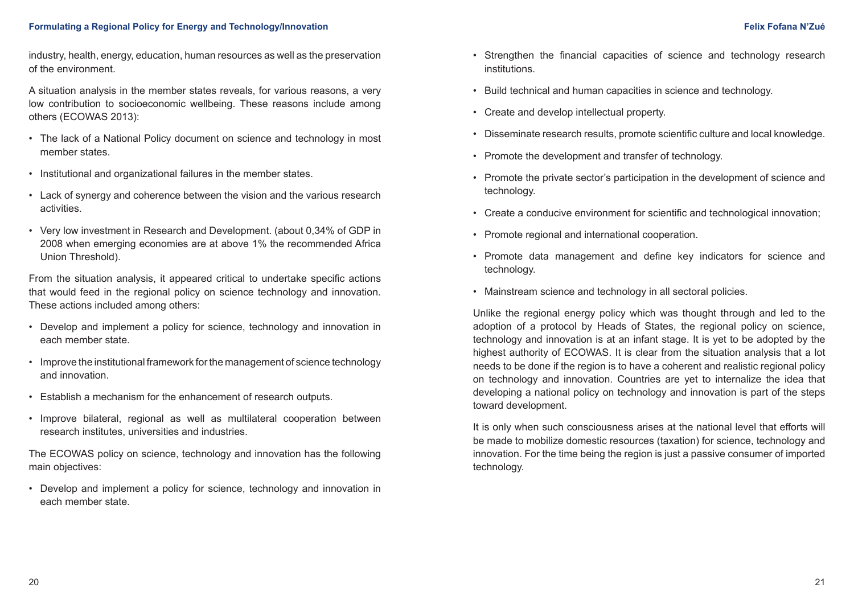industry, health, energy, education, human resources as well as the preservation of the environment.

A situation analysis in the member states reveals, for various reasons, a very low contribution to socioeconomic wellbeing. These reasons include among others (ECOWAS 2013):

- The lack of a National Policy document on science and technology in most member states.
- Institutional and organizational failures in the member states.
- Lack of synergy and coherence between the vision and the various research activities.
- Very low investment in Research and Development. (about 0,34% of GDP in 2008 when emerging economies are at above 1% the recommended Africa Union Threshold).

From the situation analysis, it appeared critical to undertake specific actions that would feed in the regional policy on science technology and innovation. These actions included among others:

- Develop and implement a policy for science, technology and innovation in each member state.
- Improve the institutional framework for the management of science technology and innovation.
- Establish a mechanism for the enhancement of research outputs.
- Improve bilateral, regional as well as multilateral cooperation between research institutes, universities and industries.

The ECOWAS policy on science, technology and innovation has the following main objectives:

• Develop and implement a policy for science, technology and innovation in each member state.

- Strengthen the financial capacities of science and technology research institutions.
- Build technical and human capacities in science and technology.
- Create and develop intellectual property.
- Disseminate research results, promote scientific culture and local knowledge.
- Promote the development and transfer of technology.
- Promote the private sector's participation in the development of science and technology.
- Create a conducive environment for scientific and technological innovation;
- Promote regional and international cooperation.
- Promote data management and define key indicators for science and technology.
- Mainstream science and technology in all sectoral policies.

Unlike the regional energy policy which was thought through and led to the adoption of a protocol by Heads of States, the regional policy on science, technology and innovation is at an infant stage. It is yet to be adopted by the highest authority of ECOWAS. It is clear from the situation analysis that a lot needs to be done if the region is to have a coherent and realistic regional policy on technology and innovation. Countries are yet to internalize the idea that developing a national policy on technology and innovation is part of the steps toward development.

It is only when such consciousness arises at the national level that efforts will be made to mobilize domestic resources (taxation) for science, technology and innovation. For the time being the region is just a passive consumer of imported technology.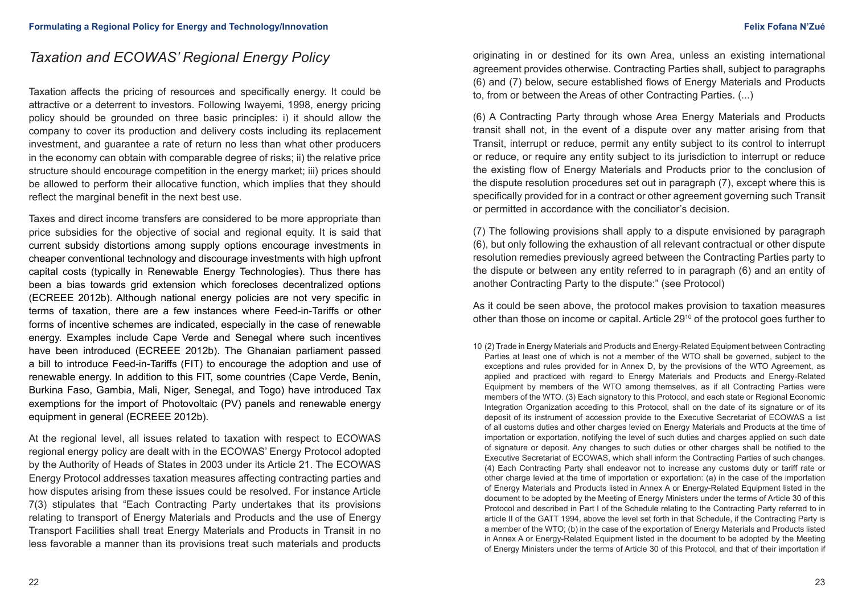# *Taxation and ECOWAS' Regional Energy Policy*

Taxation affects the pricing of resources and specifically energy. It could be attractive or a deterrent to investors. Following Iwayemi, 1998, energy pricing policy should be grounded on three basic principles: i) it should allow the company to cover its production and delivery costs including its replacement investment, and guarantee a rate of return no less than what other producers in the economy can obtain with comparable degree of risks; ii) the relative price structure should encourage competition in the energy market; iii) prices should be allowed to perform their allocative function, which implies that they should reflect the marginal benefit in the next best use.

Taxes and direct income transfers are considered to be more appropriate than price subsidies for the objective of social and regional equity. It is said that current subsidy distortions among supply options encourage investments in cheaper conventional technology and discourage investments with high upfront capital costs (typically in Renewable Energy Technologies). Thus there has been a bias towards grid extension which forecloses decentralized options (ECREEE 2012b). Although national energy policies are not very specific in terms of taxation, there are a few instances where Feed-in-Tariffs or other forms of incentive schemes are indicated, especially in the case of renewable energy. Examples include Cape Verde and Senegal where such incentives have been introduced (ECREEE 2012b). The Ghanaian parliament passed a bill to introduce Feed-in-Tariffs (FIT) to encourage the adoption and use of renewable energy. In addition to this FIT, some countries (Cape Verde, Benin, Burkina Faso, Gambia, Mali, Niger, Senegal, and Togo) have introduced Tax exemptions for the import of Photovoltaic (PV) panels and renewable energy equipment in general (ECREEE 2012b).

At the regional level, all issues related to taxation with respect to ECOWAS regional energy policy are dealt with in the ECOWAS' Energy Protocol adopted by the Authority of Heads of States in 2003 under its Article 21. The ECOWAS Energy Protocol addresses taxation measures affecting contracting parties and how disputes arising from these issues could be resolved. For instance Article 7(3) stipulates that "Each Contracting Party undertakes that its provisions relating to transport of Energy Materials and Products and the use of Energy Transport Facilities shall treat Energy Materials and Products in Transit in no less favorable a manner than its provisions treat such materials and products originating in or destined for its own Area, unless an existing international agreement provides otherwise. Contracting Parties shall, subject to paragraphs (6) and (7) below, secure established flows of Energy Materials and Products to, from or between the Areas of other Contracting Parties. (...)

(6) A Contracting Party through whose Area Energy Materials and Products transit shall not, in the event of a dispute over any matter arising from that Transit, interrupt or reduce, permit any entity subject to its control to interrupt or reduce, or require any entity subject to its jurisdiction to interrupt or reduce the existing flow of Energy Materials and Products prior to the conclusion of the dispute resolution procedures set out in paragraph (7), except where this is specifically provided for in a contract or other agreement governing such Transit or permitted in accordance with the conciliator's decision.

(7) The following provisions shall apply to a dispute envisioned by paragraph (6), but only following the exhaustion of all relevant contractual or other dispute resolution remedies previously agreed between the Contracting Parties party to the dispute or between any entity referred to in paragraph (6) and an entity of another Contracting Party to the dispute:" (see Protocol)

As it could be seen above, the protocol makes provision to taxation measures other than those on income or capital. Article 2910 of the protocol goes further to

10 (2) Trade in Energy Materials and Products and Energy-Related Equipment between Contracting Parties at least one of which is not a member of the WTO shall be governed, subject to the exceptions and rules provided for in Annex D, by the provisions of the WTO Agreement, as applied and practiced with regard to Energy Materials and Products and Energy-Related Equipment by members of the WTO among themselves, as if all Contracting Parties were members of the WTO. (3) Each signatory to this Protocol, and each state or Regional Economic Integration Organization acceding to this Protocol, shall on the date of its signature or of its deposit of its instrument of accession provide to the Executive Secretariat of ECOWAS a list of all customs duties and other charges levied on Energy Materials and Products at the time of importation or exportation, notifying the level of such duties and charges applied on such date of signature or deposit. Any changes to such duties or other charges shall be notified to the Executive Secretariat of ECOWAS, which shall inform the Contracting Parties of such changes. (4) Each Contracting Party shall endeavor not to increase any customs duty or tariff rate or other charge levied at the time of importation or exportation: (a) in the case of the importation of Energy Materials and Products listed in Annex A or Energy-Related Equipment listed in the document to be adopted by the Meeting of Energy Ministers under the terms of Article 30 of this Protocol and described in Part I of the Schedule relating to the Contracting Party referred to in article II of the GATT 1994, above the level set forth in that Schedule, if the Contracting Party is a member of the WTO; (b) in the case of the exportation of Energy Materials and Products listed in Annex A or Energy-Related Equipment listed in the document to be adopted by the Meeting of Energy Ministers under the terms of Article 30 of this Protocol, and that of their importation if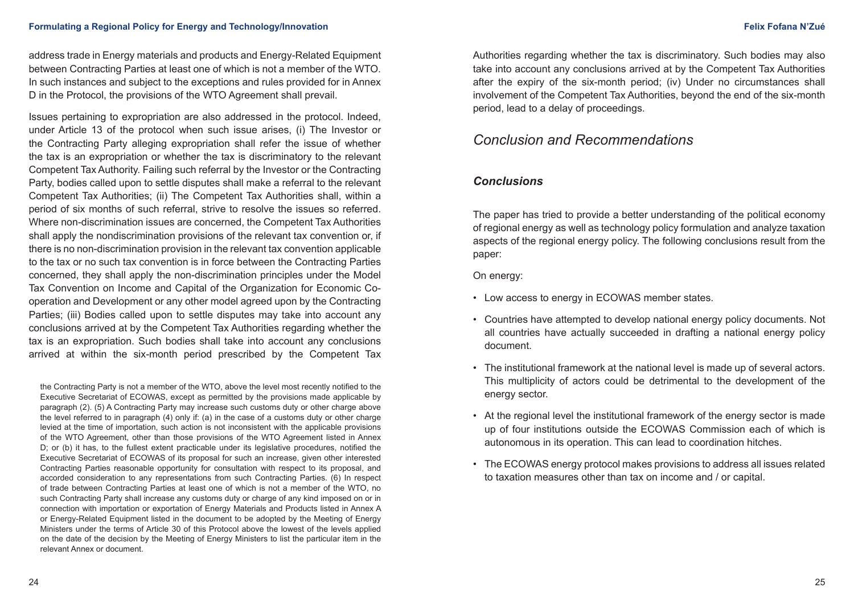address trade in Energy materials and products and Energy-Related Equipment between Contracting Parties at least one of which is not a member of the WTO. In such instances and subject to the exceptions and rules provided for in Annex D in the Protocol, the provisions of the WTO Agreement shall prevail.

Issues pertaining to expropriation are also addressed in the protocol. Indeed, under Article 13 of the protocol when such issue arises, (i) The Investor or the Contracting Party alleging expropriation shall refer the issue of whether the tax is an expropriation or whether the tax is discriminatory to the relevant Competent Tax Authority. Failing such referral by the Investor or the Contracting Party, bodies called upon to settle disputes shall make a referral to the relevant Competent Tax Authorities; (ii) The Competent Tax Authorities shall, within a period of six months of such referral, strive to resolve the issues so referred. Where non-discrimination issues are concerned, the Competent Tax Authorities shall apply the nondiscrimination provisions of the relevant tax convention or, if there is no non-discrimination provision in the relevant tax convention applicable to the tax or no such tax convention is in force between the Contracting Parties concerned, they shall apply the non-discrimination principles under the Model Tax Convention on Income and Capital of the Organization for Economic Cooperation and Development or any other model agreed upon by the Contracting Parties; (iii) Bodies called upon to settle disputes may take into account any conclusions arrived at by the Competent Tax Authorities regarding whether the tax is an expropriation. Such bodies shall take into account any conclusions arrived at within the six-month period prescribed by the Competent Tax

the Contracting Party is not a member of the WTO, above the level most recently notified to the Executive Secretariat of ECOWAS, except as permitted by the provisions made applicable by paragraph (2). (5) A Contracting Party may increase such customs duty or other charge above the level referred to in paragraph (4) only if: (a) in the case of a customs duty or other charge levied at the time of importation, such action is not inconsistent with the applicable provisions of the WTO Agreement, other than those provisions of the WTO Agreement listed in Annex D; or (b) it has, to the fullest extent practicable under its legislative procedures, notified the Executive Secretariat of ECOWAS of its proposal for such an increase, given other interested Contracting Parties reasonable opportunity for consultation with respect to its proposal, and accorded consideration to any representations from such Contracting Parties. (6) In respect of trade between Contracting Parties at least one of which is not a member of the WTO, no such Contracting Party shall increase any customs duty or charge of any kind imposed on or in connection with importation or exportation of Energy Materials and Products listed in Annex A or Energy-Related Equipment listed in the document to be adopted by the Meeting of Energy Ministers under the terms of Article 30 of this Protocol above the lowest of the levels applied on the date of the decision by the Meeting of Energy Ministers to list the particular item in the relevant Annex or document.

Authorities regarding whether the tax is discriminatory. Such bodies may also take into account any conclusions arrived at by the Competent Tax Authorities after the expiry of the six-month period; (iv) Under no circumstances shall involvement of the Competent Tax Authorities, beyond the end of the six-month period, lead to a delay of proceedings.

# *Conclusion and Recommendations*

### *Conclusions*

The paper has tried to provide a better understanding of the political economy of regional energy as well as technology policy formulation and analyze taxation aspects of the regional energy policy. The following conclusions result from the paper:

On energy:

- Low access to energy in ECOWAS member states.
- Countries have attempted to develop national energy policy documents. Not all countries have actually succeeded in drafting a national energy policy document.
- The institutional framework at the national level is made up of several actors. This multiplicity of actors could be detrimental to the development of the energy sector.
- At the regional level the institutional framework of the energy sector is made up of four institutions outside the ECOWAS Commission each of which is autonomous in its operation. This can lead to coordination hitches.
- The ECOWAS energy protocol makes provisions to address all issues related to taxation measures other than tax on income and / or capital.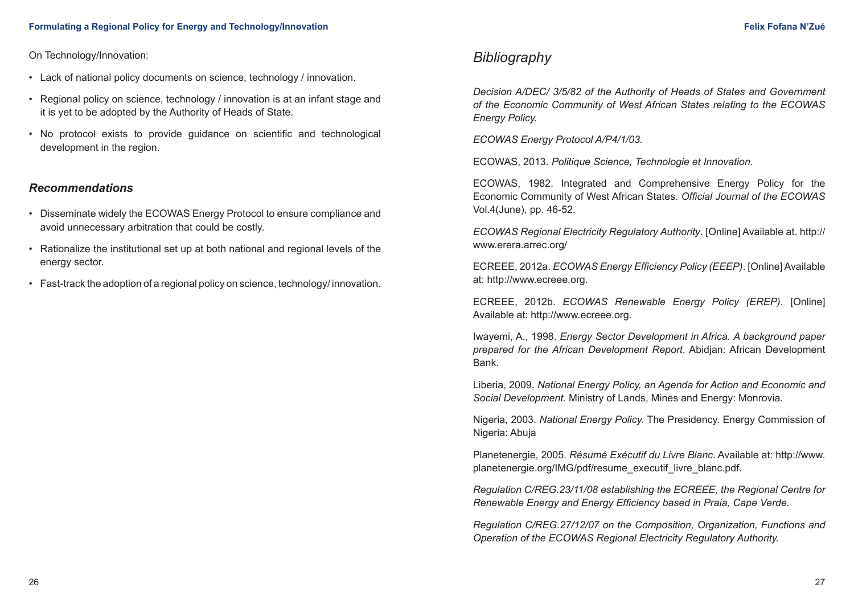On Technology/Innovation:

- Lack of national policy documents on science, technology / innovation.
- Regional policy on science, technology / innovation is at an infant stage and it is yet to be adopted by the Authority of Heads of State.
- No protocol exists to provide guidance on scientific and technological development in the region.

### *Recommendations*

- Disseminate widely the ECOWAS Energy Protocol to ensure compliance and avoid unnecessary arbitration that could be costly.
- Rationalize the institutional set up at both national and regional levels of the energy sector.
- Fast-track the adoption of a regional policy on science, technology/ innovation.

# *Bibliography*

*Decision A/DEC/ 3/5/82 of the Authority of Heads of States and Government of the Economic Community of West African States relating to the ECOWAS Energy Policy.* 

*ECOWAS Energy Protocol A/P4/1/03.* 

ECOWAS, 2013. *Politique Science, Technologie et Innovation.*

ECOWAS, 1982. Integrated and Comprehensive Energy Policy for the Economic Community of West African States. *Official Journal of the ECOWAS*  Vol.4(June), pp. 46-52.

*ECOWAS Regional Electricity Regulatory Authority*. [Online] Available at. http:// www.erera.arrec.org/

ECREEE, 2012a. *ECOWAS Energy Efficiency Policy (EEEP)*. [Online] Available at: [http://www.ecreee.org.](http://www.ecreee.org)

ECREEE, 2012b. *ECOWAS Renewable Energy Policy (EREP)*. [Online] Available at:<http://www.ecreee.org>.

Iwayemi, A., 1998. *Energy Sector Development in Africa. A background paper prepared for the African Development Report*. Abidjan: African Development Bank.

Liberia, 2009. *National Energy Policy, an Agenda for Action and Economic and Social Development.* Ministry of Lands, Mines and Energy: Monrovia.

Nigeria, 2003. *National Energy Policy.* The Presidency. Energy Commission of Nigeria: Abuja

Planetenergie, 2005. *Résumé Exécutif du Livre Blanc*. Available at: [http://www.](http://www.planetenergie.org/IMG/pdf/resume_executif_livre_blanc.pdf) [planetenergie.org/IMG/pdf/resume\\_executif\\_livre\\_blanc.pdf.](http://www.planetenergie.org/IMG/pdf/resume_executif_livre_blanc.pdf)

*Regulation C/REG.23/11/08 establishing the ECREEE, the Regional Centre for Renewable Energy and Energy Efficiency based in Praia, Cape Verde.*

*Regulation C/REG.27/12/07 on the Composition, Organization, Functions and Operation of the ECOWAS Regional Electricity Regulatory Authority.*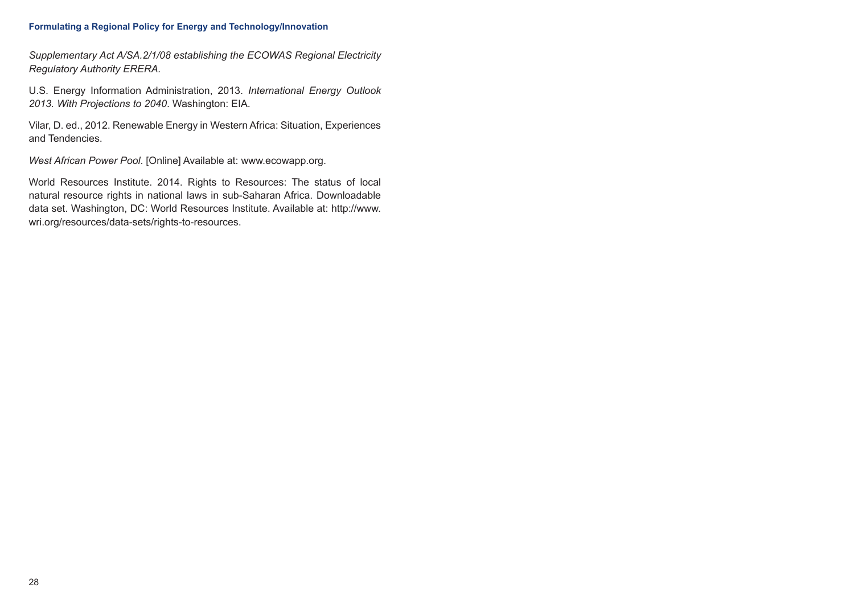#### **Formulating a Regional Policy for Energy and Technology/Innovation**

*Supplementary Act A/SA.2/1/08 establishing the ECOWAS Regional Electricity Regulatory Authority ERERA.*

U.S. Energy Information Administration, 2013. *International Energy Outlook 2013. With Projections to 2040*. Washington: EIA.

Vilar, D. ed., 2012. Renewable Energy in Western Africa: Situation, Experiences and Tendencies.

*West African Power Pool*. [Online] Available at: [www.ecowapp.org.](http://www.wapp.org)

World Resources Institute. 2014. Rights to Resources: The status of local natural resource rights in national laws in sub-Saharan Africa. Downloadable data set. Washington, DC: World Resources Institute. Available at: [http://www.](http://www.wri.org/resources/data-sets/rights-to-resources) [wri.org/resources/data-sets/rights-to-resources](http://www.wri.org/resources/data-sets/rights-to-resources).